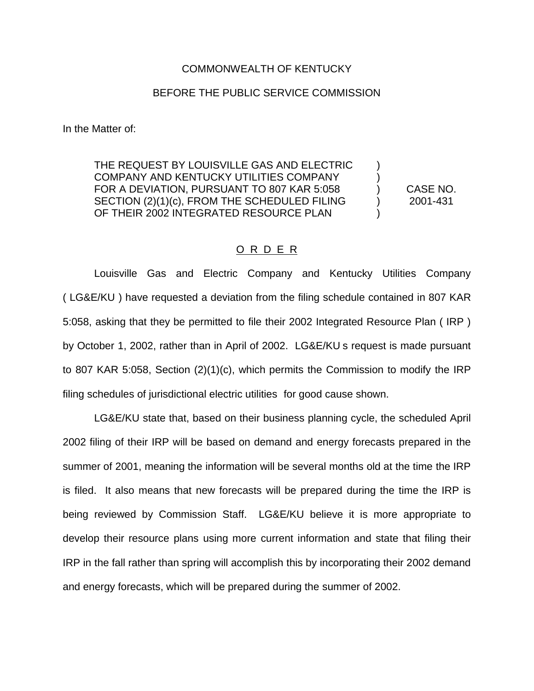## COMMONWEALTH OF KENTUCKY

## BEFORE THE PUBLIC SERVICE COMMISSION

In the Matter of:

THE REQUEST BY LOUISVILLE GAS AND ELECTRIC COMPANY AND KENTUCKY UTILITIES COMPANY FOR A DEVIATION, PURSUANT TO 807 KAR 5:058 (CASE NO. SECTION (2)(1)(c), FROM THE SCHEDULED FILING ) 2001-431 OF THEIR 2002 INTEGRATED RESOURCE PLAN

## O R D E R

Louisville Gas and Electric Company and Kentucky Utilities Company ( LG&E/KU ) have requested a deviation from the filing schedule contained in 807 KAR 5:058, asking that they be permitted to file their 2002 Integrated Resource Plan ( IRP ) by October 1, 2002, rather than in April of 2002. LG&E/KU s request is made pursuant to 807 KAR 5:058, Section (2)(1)(c), which permits the Commission to modify the IRP filing schedules of jurisdictional electric utilities for good cause shown.

LG&E/KU state that, based on their business planning cycle, the scheduled April 2002 filing of their IRP will be based on demand and energy forecasts prepared in the summer of 2001, meaning the information will be several months old at the time the IRP is filed. It also means that new forecasts will be prepared during the time the IRP is being reviewed by Commission Staff. LG&E/KU believe it is more appropriate to develop their resource plans using more current information and state that filing their IRP in the fall rather than spring will accomplish this by incorporating their 2002 demand and energy forecasts, which will be prepared during the summer of 2002.